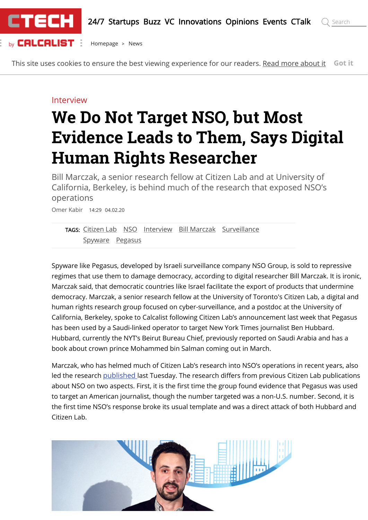

This site uses cookies to ensure the best viewing experience for our readers. [Read more about it](https://www.calcalistech.com/ctech/home/0,7340,L-5249,00.html) **Got it**

#### Interview

# **We Do Not Target NSO, but Most Evidence Leads to Them, Says Digital Human Rights Researcher**

Bill Marczak, a senior research fellow at Citizen Lab and at University of California, Berkeley, is behind much of the research that exposed NSO's operations

Omer Kabir 14:29 04.02.20

[TAGS:](https://www.calcalistech.com/ctech/home/0,7340,L-5492,00.html) [Citizen Lab](https://www.calcalistech.com/ctech/home/0,7340,L-5492-201798,00.html) [NSO](https://www.calcalistech.com/ctech/home/0,7340,L-5492-77009,00.html) [Interview](https://www.calcalistech.com/ctech/home/0,7340,L-5492-197434,00.html) [Bill Marczak](https://www.calcalistech.com/ctech/home/0,7340,L-5492-249592,00.html) [Surveillance](https://www.calcalistech.com/ctech/home/0,7340,L-5492-192372,00.html) [Spyware](https://www.calcalistech.com/ctech/home/0,7340,L-5492-192373,00.html) [Pegasus](https://www.calcalistech.com/ctech/home/0,7340,L-5492-199283,00.html)

Spyware like Pegasus, developed by Israeli surveillance company NSO Group, is sold to repressive regimes that use them to damage democracy, according to digital researcher Bill Marczak. It is ironic, Marczak said, that democratic countries like Israel facilitate the export of products that undermine democracy. Marczak, a senior research fellow at the University of Toronto's Citizen Lab, a digital and human rights research group focused on cyber-surveillance, and a postdoc at the University of California, Berkeley, spoke to Calcalist following Citizen Lab's announcement last week that Pegasus has been used by a Saudi-linked operator to target New York Times journalist Ben Hubbard. Hubbard, currently the NYT's Beirut Bureau Chief, previously reported on Saudi Arabia and has a book about crown prince Mohammed bin Salman coming out in March.

Marczak, who has helmed much of Citizen Lab's research into NSO's operations in recent years, also led the research [published](https://citizenlab.ca/2020/01/stopping-the-press-new-york-times-journalist-targeted-by-saudi-linked-pegasus-spyware-operator/) last Tuesday. The research differs from previous Citizen Lab publications about NSO on two aspects. First, it is the first time the group found evidence that Pegasus was used to target an American journalist, though the number targeted was a non-U.S. number. Second, it is the first time NSO's response broke its usual template and was a direct attack of both Hubbard and Citizen Lab.

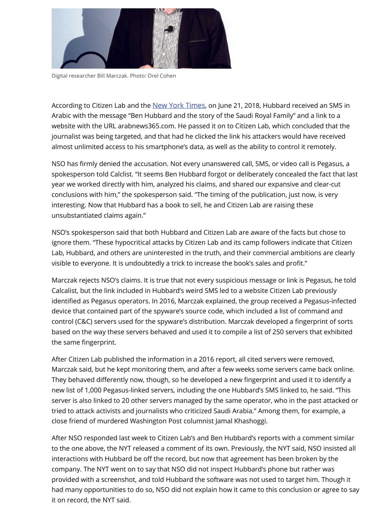

Digital researcher Bill Marczak. Photo: Orel Cohen

According to Citizen Lab and the [New York Times](https://www.nytimes.com/2020/01/28/reader-center/phone-hacking-saudi-arabia.html), on June 21, 2018, Hubbard received an SMS in Arabic with the message "Ben Hubbard and the story of the Saudi Royal Family" and a link to a website with the URL arabnews365.com. He passed it on to Citizen Lab, which concluded that the journalist was being targeted, and that had he clicked the link his attackers would have received almost unlimited access to his smartphone's data, as well as the ability to control it remotely.

NSO has firmly denied the accusation. Not every unanswered call, SMS, or video call is Pegasus, a spokesperson told Calclist. "It seems Ben Hubbard forgot or deliberately concealed the fact that last year we worked directly with him, analyzed his claims, and shared our expansive and clear-cut conclusions with him," the spokesperson said. "The timing of the publication, just now, is very interesting. Now that Hubbard has a book to sell, he and Citizen Lab are raising these unsubstantiated claims again."

NSO's spokesperson said that both Hubbard and Citizen Lab are aware of the facts but chose to ignore them. "These hypocritical attacks by Citizen Lab and its camp followers indicate that Citizen Lab, Hubbard, and others are uninterested in the truth, and their commercial ambitions are clearly visible to everyone. It is undoubtedly a trick to increase the book's sales and profit."

Marczak rejects NSO's claims. It is true that not every suspicious message or link is Pegasus, he told Calcalist, but the link included in Hubbard's weird SMS led to a website Citizen Lab previously identified as Pegasus operators. In 2016, Marczak explained, the group received a Pegasus-infected device that contained part of the spyware's source code, which included a list of command and control (C&C) servers used for the spyware's distribution. Marczak developed a fingerprint of sorts based on the way these servers behaved and used it to compile a list of 250 servers that exhibited the same fingerprint.

After Citizen Lab published the information in a 2016 report, all cited servers were removed, Marczak said, but he kept monitoring them, and after a few weeks some servers came back online. They behaved differently now, though, so he developed a new fingerprint and used it to identify a new list of 1,000 Pegasus-linked servers, including the one Hubbard's SMS linked to, he said. "This server is also linked to 20 other servers managed by the same operator, who in the past attacked or tried to attack activists and journalists who criticized Saudi Arabia." Among them, for example, a close friend of murdered Washington Post columnist Jamal Khashoggi.

After NSO responded last week to Citizen Lab's and Ben Hubbard's reports with a comment similar to the one above, the NYT released a comment of its own. Previously, the NYT said, NSO insisted all interactions with Hubbard be off the record, but now that agreement has been broken by the company. The NYT went on to say that NSO did not inspect Hubbard's phone but rather was provided with a screenshot, and told Hubbard the software was not used to target him. Though it had many opportunities to do so, NSO did not explain how it came to this conclusion or agree to say it on record, the NYT said.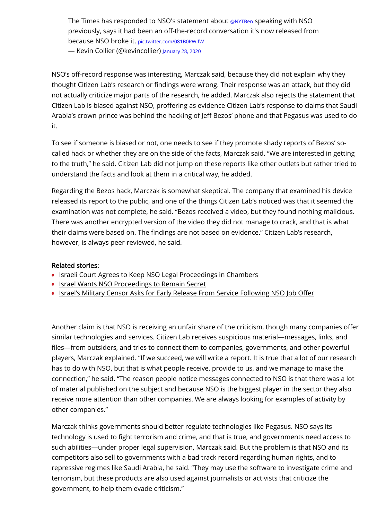The Times has responded to NSO's statement about [@NYTBen](https://twitter.com/NYTBen?ref_src=twsrc%5Etfw) speaking with NSO previously, says it had been an off-the-record conversation it's now released from because NSO broke it. [pic.twitter.com/081B0RWlfW](https://t.co/081B0RWlfW) — Kevin Collier (@kevincollier) [January 28, 2020](https://twitter.com/kevincollier/status/1222271138434252802?ref_src=twsrc%5Etfw)

NSO's off-record response was interesting, Marczak said, because they did not explain why they thought Citizen Lab's research or findings were wrong. Their response was an attack, but they did not actually criticize major parts of the research, he added. Marczak also rejects the statement that Citizen Lab is biased against NSO, proffering as evidence Citizen Lab's response to claims that Saudi Arabia's crown prince was behind the hacking of Jeff Bezos' phone and that Pegasus was used to do it.

To see if someone is biased or not, one needs to see if they promote shady reports of Bezos' socalled hack or whether they are on the side of the facts, Marczak said. "We are interested in getting to the truth," he said. Citizen Lab did not jump on these reports like other outlets but rather tried to understand the facts and look at them in a critical way, he added.

Regarding the Bezos hack, Marczak is somewhat skeptical. The company that examined his device released its report to the public, and one of the things Citizen Lab's noticed was that it seemed the examination was not complete, he said. "Bezos received a video, but they found nothing malicious. There was another encrypted version of the video they did not manage to crack, and that is what their claims were based on. The findings are not based on evidence." Citizen Lab's research, however, is always peer-reviewed, he said.

#### Related stories:

- [Israeli Court Agrees to Keep NSO Legal Proceedings in Chambers](https://www.calcalistech.com/ctech/articles/0,7340,L-3777903,00.html)
- [Israel Wants NSO Proceedings to Remain Secret](https://www.calcalistech.com/ctech/articles/0,7340,L-3777743,00.html)
- Israel's Military Censor Asks for Early Release From Service Following NSO Job Offer

Another claim is that NSO is receiving an unfair share of the criticism, though many companies offer similar technologies and services. Citizen Lab receives suspicious material—messages, links, and files—from outsiders, and tries to connect them to companies, governments, and other powerful players, Marczak explained. "If we succeed, we will write a report. It is true that a lot of our research has to do with NSO, but that is what people receive, provide to us, and we manage to make the connection," he said. "The reason people notice messages connected to NSO is that there was a lot of material published on the subject and because NSO is the biggest player in the sector they also receive more attention than other companies. We are always looking for examples of activity by other companies."

Marczak thinks governments should better regulate technologies like Pegasus. NSO says its technology is used to fight terrorism and crime, and that is true, and governments need access to such abilities—under proper legal supervision, Marczak said. But the problem is that NSO and its competitors also sell to governments with a bad track record regarding human rights, and to repressive regimes like Saudi Arabia, he said. "They may use the software to investigate crime and terrorism, but these products are also used against journalists or activists that criticize the government, to help them evade criticism."